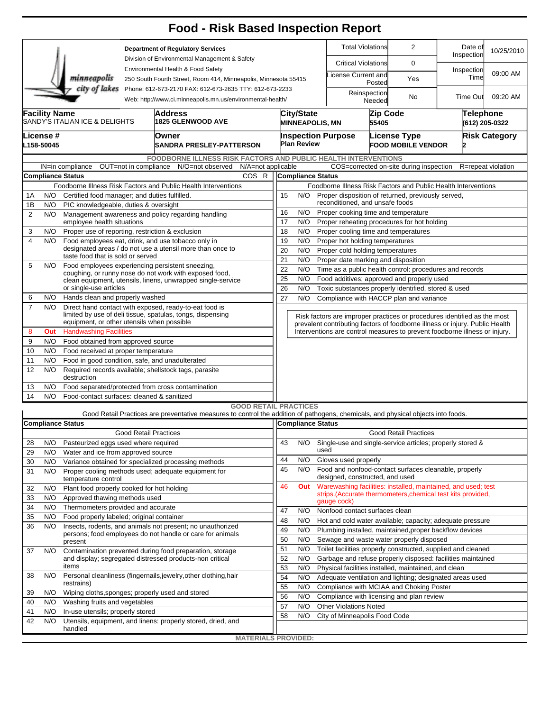## **Food - Risk Based Inspection Report**

| <b>Department of Regulatory Services</b> |                                                                                                                                        |                                                  |  |                                                                                                                                   |                              |                                                                                      |                          |                                                  | <b>Total Violations</b>         |        | 2                                                                                                                                                          | Date of<br>Inspection              | 10/25/2010           |  |  |  |  |  |  |
|------------------------------------------|----------------------------------------------------------------------------------------------------------------------------------------|--------------------------------------------------|--|-----------------------------------------------------------------------------------------------------------------------------------|------------------------------|--------------------------------------------------------------------------------------|--------------------------|--------------------------------------------------|---------------------------------|--------|------------------------------------------------------------------------------------------------------------------------------------------------------------|------------------------------------|----------------------|--|--|--|--|--|--|
|                                          |                                                                                                                                        |                                                  |  | Division of Environmental Management & Safety                                                                                     |                              |                                                                                      |                          | <b>Critical Violations</b>                       |                                 | 0      |                                                                                                                                                            |                                    |                      |  |  |  |  |  |  |
|                                          |                                                                                                                                        | minneapolis                                      |  | Environmental Health & Food Safety<br>250 South Fourth Street, Room 414, Minneapolis, Minnesota 55415                             |                              |                                                                                      |                          |                                                  | icense Current and              | Posted | Yes                                                                                                                                                        | Inspection<br>Time                 | 09:00 AM             |  |  |  |  |  |  |
|                                          | city of lakes<br>Phone: 612-673-2170 FAX: 612-673-2635 TTY: 612-673-2233<br>Web: http://www.ci.minneapolis.mn.us/environmental-health/ |                                                  |  |                                                                                                                                   |                              |                                                                                      |                          |                                                  | Reinspection<br>Needed          |        | No                                                                                                                                                         | <b>Time Out</b>                    | 09:20 AM             |  |  |  |  |  |  |
|                                          | <b>Facility Name</b><br>Address<br>SANDY'S ITALIAN ICE & DELIGHTS<br><b>1825 GLENWOOD AVE</b>                                          |                                                  |  |                                                                                                                                   |                              |                                                                                      |                          | <b>City/State</b>                                | <b>MINNEAPOLIS, MN</b><br>55405 |        | Zip Code                                                                                                                                                   | <b>Telephone</b><br>(612) 205-0322 |                      |  |  |  |  |  |  |
|                                          | .icense #                                                                                                                              |                                                  |  | Owner                                                                                                                             |                              |                                                                                      |                          |                                                  | <b>Inspection Purpose</b>       |        | License Type                                                                                                                                               |                                    | <b>Risk Category</b> |  |  |  |  |  |  |
|                                          | L158-50045                                                                                                                             |                                                  |  | <b>SANDRA PRESLEY-PATTERSON</b>                                                                                                   |                              |                                                                                      | <b>Plan Review</b>       |                                                  |                                 |        | <b>FOOD MOBILE VENDOR</b>                                                                                                                                  | 12                                 |                      |  |  |  |  |  |  |
|                                          |                                                                                                                                        |                                                  |  | FOODBORNE ILLNESS RISK FACTORS AND PUBLIC HEALTH INTERVENTIONS                                                                    |                              |                                                                                      |                          |                                                  |                                 |        |                                                                                                                                                            |                                    |                      |  |  |  |  |  |  |
|                                          |                                                                                                                                        | IN=in compliance                                 |  | OUT=not in compliance N/O=not observed                                                                                            | N/A=not applicable           |                                                                                      |                          |                                                  |                                 |        | COS=corrected on-site during inspection                                                                                                                    |                                    | R=repeat violation   |  |  |  |  |  |  |
|                                          |                                                                                                                                        | <b>Compliance Status</b>                         |  |                                                                                                                                   | COS R                        |                                                                                      | Compliance Status        |                                                  |                                 |        |                                                                                                                                                            |                                    |                      |  |  |  |  |  |  |
|                                          |                                                                                                                                        |                                                  |  | Foodborne Illness Risk Factors and Public Health Interventions                                                                    |                              |                                                                                      |                          |                                                  |                                 |        | Foodborne Illness Risk Factors and Public Health Interventions                                                                                             |                                    |                      |  |  |  |  |  |  |
| 1A                                       | N/O                                                                                                                                    | Certified food manager; and duties fulfilled.    |  |                                                                                                                                   |                              | 15                                                                                   | N/O                      |                                                  |                                 |        | Proper disposition of returned, previously served,                                                                                                         |                                    |                      |  |  |  |  |  |  |
| 1B                                       | N/O                                                                                                                                    | PIC knowledgeable, duties & oversight            |  |                                                                                                                                   |                              | reconditioned, and unsafe foods<br>Proper cooking time and temperature<br>16<br>N/O  |                          |                                                  |                                 |        |                                                                                                                                                            |                                    |                      |  |  |  |  |  |  |
| $\overline{2}$                           | N/O                                                                                                                                    | employee health situations                       |  | Management awareness and policy regarding handling                                                                                |                              | 17                                                                                   | N/O                      |                                                  |                                 |        | Proper reheating procedures for hot holding                                                                                                                |                                    |                      |  |  |  |  |  |  |
| 3                                        | N/O                                                                                                                                    | Proper use of reporting, restriction & exclusion |  |                                                                                                                                   |                              | 18                                                                                   | N/O                      |                                                  |                                 |        |                                                                                                                                                            |                                    |                      |  |  |  |  |  |  |
| $\overline{\mathbf{4}}$                  | N/O                                                                                                                                    |                                                  |  | Food employees eat, drink, and use tobacco only in                                                                                |                              | Proper cooling time and temperatures<br>19<br>N/O<br>Proper hot holding temperatures |                          |                                                  |                                 |        |                                                                                                                                                            |                                    |                      |  |  |  |  |  |  |
|                                          |                                                                                                                                        |                                                  |  | designated areas / do not use a utensil more than once to                                                                         |                              | 20<br>N/O<br>Proper cold holding temperatures                                        |                          |                                                  |                                 |        |                                                                                                                                                            |                                    |                      |  |  |  |  |  |  |
|                                          | taste food that is sold or served                                                                                                      |                                                  |  |                                                                                                                                   |                              |                                                                                      |                          | 21<br>N/O<br>Proper date marking and disposition |                                 |        |                                                                                                                                                            |                                    |                      |  |  |  |  |  |  |
| 5                                        | N/O                                                                                                                                    |                                                  |  | Food employees experiencing persistent sneezing,<br>coughing, or runny nose do not work with exposed food,                        |                              | 22<br>N/O<br>Time as a public health control: procedures and records                 |                          |                                                  |                                 |        |                                                                                                                                                            |                                    |                      |  |  |  |  |  |  |
|                                          |                                                                                                                                        |                                                  |  | clean equipment, utensils, linens, unwrapped single-service                                                                       |                              | 25                                                                                   | N/O                      |                                                  |                                 |        | Food additives; approved and properly used                                                                                                                 |                                    |                      |  |  |  |  |  |  |
|                                          |                                                                                                                                        | or single-use articles                           |  |                                                                                                                                   |                              | 26                                                                                   | N/O                      |                                                  |                                 |        | Toxic substances properly identified, stored & used                                                                                                        |                                    |                      |  |  |  |  |  |  |
| 6                                        | N/O                                                                                                                                    | Hands clean and properly washed                  |  |                                                                                                                                   |                              | 27                                                                                   | N/O                      |                                                  |                                 |        | Compliance with HACCP plan and variance                                                                                                                    |                                    |                      |  |  |  |  |  |  |
| $\overline{7}$                           | N/O                                                                                                                                    | equipment, or other utensils when possible       |  | Direct hand contact with exposed, ready-to-eat food is<br>limited by use of deli tissue, spatulas, tongs, dispensing              |                              |                                                                                      |                          |                                                  |                                 |        | Risk factors are improper practices or procedures identified as the most                                                                                   |                                    |                      |  |  |  |  |  |  |
| 8                                        | Out                                                                                                                                    | <b>Handwashing Facilities</b>                    |  |                                                                                                                                   |                              |                                                                                      |                          |                                                  |                                 |        | prevalent contributing factors of foodborne illness or injury. Public Health<br>Interventions are control measures to prevent foodborne illness or injury. |                                    |                      |  |  |  |  |  |  |
| 9                                        | N/O                                                                                                                                    | Food obtained from approved source               |  |                                                                                                                                   |                              |                                                                                      |                          |                                                  |                                 |        |                                                                                                                                                            |                                    |                      |  |  |  |  |  |  |
| 10                                       | N/O                                                                                                                                    | Food received at proper temperature              |  |                                                                                                                                   |                              |                                                                                      |                          |                                                  |                                 |        |                                                                                                                                                            |                                    |                      |  |  |  |  |  |  |
| 11                                       | N/O                                                                                                                                    | Food in good condition, safe, and unadulterated  |  |                                                                                                                                   |                              |                                                                                      |                          |                                                  |                                 |        |                                                                                                                                                            |                                    |                      |  |  |  |  |  |  |
| 12                                       | N/O                                                                                                                                    | destruction                                      |  | Required records available; shellstock tags, parasite                                                                             |                              |                                                                                      |                          |                                                  |                                 |        |                                                                                                                                                            |                                    |                      |  |  |  |  |  |  |
| 13                                       | N/O                                                                                                                                    |                                                  |  | Food separated/protected from cross contamination                                                                                 |                              |                                                                                      |                          |                                                  |                                 |        |                                                                                                                                                            |                                    |                      |  |  |  |  |  |  |
| 14                                       | N/O                                                                                                                                    | Food-contact surfaces: cleaned & sanitized       |  |                                                                                                                                   |                              |                                                                                      |                          |                                                  |                                 |        |                                                                                                                                                            |                                    |                      |  |  |  |  |  |  |
|                                          |                                                                                                                                        |                                                  |  |                                                                                                                                   | <b>GOOD RETAIL PRACTICES</b> |                                                                                      |                          |                                                  |                                 |        |                                                                                                                                                            |                                    |                      |  |  |  |  |  |  |
|                                          |                                                                                                                                        |                                                  |  | Good Retail Practices are preventative measures to control the addition of pathogens, chemicals, and physical objects into foods. |                              |                                                                                      |                          |                                                  |                                 |        |                                                                                                                                                            |                                    |                      |  |  |  |  |  |  |
|                                          | <b>Compliance Status</b><br><b>Good Retail Practices</b>                                                                               |                                                  |  |                                                                                                                                   |                              |                                                                                      | <b>Compliance Status</b> |                                                  |                                 |        |                                                                                                                                                            |                                    |                      |  |  |  |  |  |  |
|                                          |                                                                                                                                        |                                                  |  |                                                                                                                                   |                              |                                                                                      |                          |                                                  |                                 |        | <b>Good Retail Practices</b>                                                                                                                               |                                    |                      |  |  |  |  |  |  |
| 28                                       | N/O                                                                                                                                    | Pasteurized eggs used where required             |  |                                                                                                                                   |                              | 43                                                                                   | N/O                      | used                                             |                                 |        | Single-use and single-service articles; properly stored &                                                                                                  |                                    |                      |  |  |  |  |  |  |
| 29                                       | N/O                                                                                                                                    | Water and ice from approved source               |  |                                                                                                                                   |                              | 44                                                                                   | N/O                      |                                                  | Gloves used properly            |        |                                                                                                                                                            |                                    |                      |  |  |  |  |  |  |
| 30<br>31                                 | N/O<br>N/O                                                                                                                             |                                                  |  | Variance obtained for specialized processing methods<br>Proper cooling methods used; adequate equipment for                       |                              | 45                                                                                   | N/O                      |                                                  |                                 |        | Food and nonfood-contact surfaces cleanable, properly                                                                                                      |                                    |                      |  |  |  |  |  |  |
|                                          |                                                                                                                                        | temperature control                              |  |                                                                                                                                   |                              | 46                                                                                   | Out                      |                                                  | designed, constructed, and used |        | Warewashing facilities: installed, maintained, and used; test                                                                                              |                                    |                      |  |  |  |  |  |  |
| 32                                       | N/O                                                                                                                                    | Plant food properly cooked for hot holding       |  |                                                                                                                                   |                              |                                                                                      |                          |                                                  |                                 |        | strips. (Accurate thermometers, chemical test kits provided,                                                                                               |                                    |                      |  |  |  |  |  |  |
| 33                                       | N/O                                                                                                                                    | Approved thawing methods used                    |  |                                                                                                                                   |                              |                                                                                      |                          |                                                  | gauge cock)                     |        |                                                                                                                                                            |                                    |                      |  |  |  |  |  |  |
| 34                                       | N/O                                                                                                                                    | Thermometers provided and accurate               |  |                                                                                                                                   |                              | 47                                                                                   | N/O                      |                                                  | Nonfood contact surfaces clean  |        |                                                                                                                                                            |                                    |                      |  |  |  |  |  |  |
| 35                                       | N/O                                                                                                                                    | Food properly labeled; original container        |  |                                                                                                                                   |                              | 48                                                                                   | N/O                      |                                                  |                                 |        | Hot and cold water available; capacity; adequate pressure                                                                                                  |                                    |                      |  |  |  |  |  |  |
| 36                                       | N/O                                                                                                                                    |                                                  |  | Insects, rodents, and animals not present; no unauthorized<br>persons; food employees do not handle or care for animals           |                              | 49                                                                                   | N/O                      |                                                  |                                 |        | Plumbing installed, maintained, proper backflow devices                                                                                                    |                                    |                      |  |  |  |  |  |  |
|                                          |                                                                                                                                        | present                                          |  |                                                                                                                                   |                              | 50                                                                                   | N/O                      |                                                  |                                 |        | Sewage and waste water properly disposed                                                                                                                   |                                    |                      |  |  |  |  |  |  |
| 37                                       | N/O                                                                                                                                    |                                                  |  | Contamination prevented during food preparation, storage                                                                          |                              | 51                                                                                   | N/O                      |                                                  |                                 |        | Toilet facilities properly constructed, supplied and cleaned                                                                                               |                                    |                      |  |  |  |  |  |  |
|                                          |                                                                                                                                        | items                                            |  | and display; segregated distressed products-non critical                                                                          |                              | 52                                                                                   | N/O                      |                                                  |                                 |        | Garbage and refuse properly disposed: facilities maintained                                                                                                |                                    |                      |  |  |  |  |  |  |
| 38                                       | N/O                                                                                                                                    |                                                  |  | Personal cleanliness (fingernails, jewelry, other clothing, hair                                                                  |                              | 53<br>54                                                                             | N/O                      |                                                  |                                 |        | Physical facilities installed, maintained, and clean                                                                                                       |                                    |                      |  |  |  |  |  |  |
|                                          |                                                                                                                                        | restrains)                                       |  |                                                                                                                                   |                              | 55                                                                                   | N/O<br>N/O               |                                                  |                                 |        | Adequate ventilation and lighting; designated areas used<br>Compliance with MCIAA and Choking Poster                                                       |                                    |                      |  |  |  |  |  |  |
| 39                                       | N/O                                                                                                                                    | Wiping cloths, sponges; properly used and stored |  |                                                                                                                                   |                              | 56                                                                                   | N/O                      |                                                  |                                 |        | Compliance with licensing and plan review                                                                                                                  |                                    |                      |  |  |  |  |  |  |
| 40                                       | N/O                                                                                                                                    | Washing fruits and vegetables                    |  |                                                                                                                                   |                              | 57                                                                                   | N/O                      |                                                  | <b>Other Violations Noted</b>   |        |                                                                                                                                                            |                                    |                      |  |  |  |  |  |  |
| 41                                       | N/O                                                                                                                                    | In-use utensils; properly stored                 |  |                                                                                                                                   |                              | 58                                                                                   | N/O                      |                                                  | City of Minneapolis Food Code   |        |                                                                                                                                                            |                                    |                      |  |  |  |  |  |  |
| 42                                       | N/O                                                                                                                                    |                                                  |  | Utensils, equipment, and linens: properly stored, dried, and                                                                      |                              |                                                                                      |                          |                                                  |                                 |        |                                                                                                                                                            |                                    |                      |  |  |  |  |  |  |
|                                          |                                                                                                                                        | handled                                          |  |                                                                                                                                   | <b>MATERIALS PROVIDED:</b>   |                                                                                      |                          |                                                  |                                 |        |                                                                                                                                                            |                                    |                      |  |  |  |  |  |  |
|                                          |                                                                                                                                        |                                                  |  |                                                                                                                                   |                              |                                                                                      |                          |                                                  |                                 |        |                                                                                                                                                            |                                    |                      |  |  |  |  |  |  |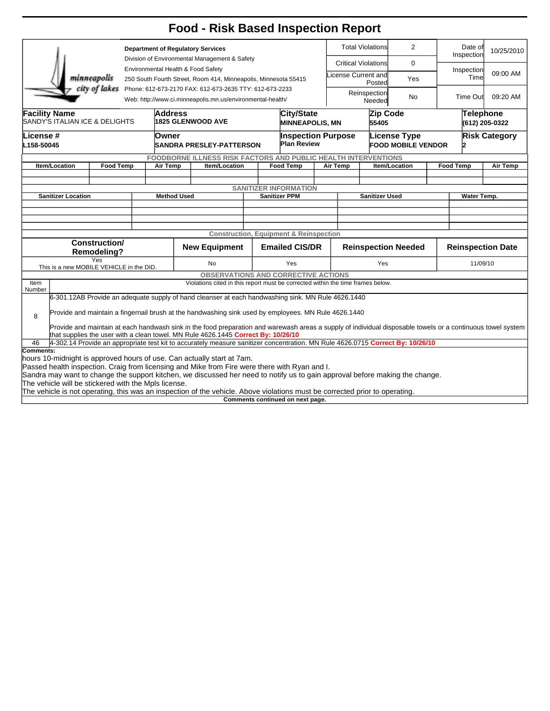## **Food - Risk Based Inspection Report**

| <b>Department of Regulatory Services</b>                                                                                                                    |                                                                                 |                  |  |                                    |                                                                                                                                |     |                                                   | <b>Total Violations</b>      |                                                 | 2                            |                      | Date of<br>Inspection     | 10/25/2010       |          |  |
|-------------------------------------------------------------------------------------------------------------------------------------------------------------|---------------------------------------------------------------------------------|------------------|--|------------------------------------|--------------------------------------------------------------------------------------------------------------------------------|-----|---------------------------------------------------|------------------------------|-------------------------------------------------|------------------------------|----------------------|---------------------------|------------------|----------|--|
|                                                                                                                                                             |                                                                                 |                  |  |                                    | Division of Environmental Management & Safety                                                                                  |     |                                                   |                              | <b>Critical Violations</b>                      |                              | $\mathbf 0$          |                           |                  |          |  |
|                                                                                                                                                             |                                                                                 |                  |  | Environmental Health & Food Safety |                                                                                                                                |     |                                                   |                              |                                                 |                              |                      |                           | Inspection       | 09:00 AM |  |
| minneapolis<br>250 South Fourth Street, Room 414, Minneapolis, Minnesota 55415                                                                              |                                                                                 |                  |  |                                    |                                                                                                                                |     |                                                   |                              | icense Current and<br>Posted                    |                              | Yes                  |                           | Time             |          |  |
|                                                                                                                                                             |                                                                                 | city of lakes    |  |                                    | Phone: 612-673-2170 FAX: 612-673-2635 TTY: 612-673-2233                                                                        |     |                                                   |                              |                                                 |                              |                      |                           |                  |          |  |
|                                                                                                                                                             | Web: http://www.ci.minneapolis.mn.us/environmental-health/                      |                  |  |                                    |                                                                                                                                |     |                                                   |                              |                                                 | Reinspection<br>No<br>Needed |                      |                           | <b>Time Out</b>  | 09:20 AM |  |
| <b>Facility Name</b>                                                                                                                                        |                                                                                 |                  |  | <b>Address</b>                     |                                                                                                                                |     | <b>City/State</b>                                 |                              |                                                 | Zip Code                     |                      |                           | <b>Telephone</b> |          |  |
| SANDY'S ITALIAN ICE & DELIGHTS                                                                                                                              |                                                                                 |                  |  |                                    | <b>1825 GLENWOOD AVE</b><br><b>MINNEAPOLIS, MN</b>                                                                             |     |                                                   |                              | 55405                                           |                              |                      | (612) 205-0322            |                  |          |  |
|                                                                                                                                                             | License #                                                                       |                  |  |                                    | Owner                                                                                                                          |     |                                                   |                              |                                                 | <b>License Type</b>          | <b>Risk Category</b> |                           |                  |          |  |
|                                                                                                                                                             | L158-50045                                                                      |                  |  |                                    | <b>SANDRA PRESLEY-PATTERSON</b>                                                                                                |     |                                                   |                              | <b>Inspection Purpose</b><br><b>Plan Review</b> |                              |                      | <b>FOOD MOBILE VENDOR</b> |                  |          |  |
|                                                                                                                                                             |                                                                                 |                  |  |                                    |                                                                                                                                |     |                                                   |                              |                                                 |                              |                      |                           |                  |          |  |
|                                                                                                                                                             |                                                                                 | <b>Food Temp</b> |  | Air Temp                           | <b>FOODBORNE ILLNESS RISK FACTORS AND PUBLIC HEALTH INTERVENTIONS</b><br>Item/Location                                         |     |                                                   | <b>Food Temp</b><br>Air Temp |                                                 | Item/Location                |                      |                           | <b>Food Temp</b> | Air Temp |  |
|                                                                                                                                                             | Item/Location                                                                   |                  |  |                                    |                                                                                                                                |     |                                                   |                              |                                                 |                              |                      |                           |                  |          |  |
|                                                                                                                                                             |                                                                                 |                  |  |                                    |                                                                                                                                |     |                                                   |                              |                                                 |                              |                      |                           |                  |          |  |
|                                                                                                                                                             |                                                                                 |                  |  |                                    |                                                                                                                                |     | <b>SANITIZER INFORMATION</b>                      |                              |                                                 |                              |                      |                           |                  |          |  |
|                                                                                                                                                             | <b>Sanitizer Location</b>                                                       |                  |  | <b>Method Used</b>                 |                                                                                                                                |     | <b>Sanitizer PPM</b>                              |                              |                                                 | <b>Sanitizer Used</b>        |                      |                           | Water Temp.      |          |  |
|                                                                                                                                                             |                                                                                 |                  |  |                                    |                                                                                                                                |     |                                                   |                              |                                                 |                              |                      |                           |                  |          |  |
|                                                                                                                                                             |                                                                                 |                  |  |                                    |                                                                                                                                |     |                                                   |                              |                                                 |                              |                      |                           |                  |          |  |
|                                                                                                                                                             |                                                                                 |                  |  |                                    |                                                                                                                                |     | <b>Construction, Equipment &amp; Reinspection</b> |                              |                                                 |                              |                      |                           |                  |          |  |
|                                                                                                                                                             |                                                                                 | Construction/    |  |                                    |                                                                                                                                |     |                                                   |                              |                                                 |                              |                      |                           |                  |          |  |
| <b>Remodeling?</b>                                                                                                                                          |                                                                                 |                  |  |                                    | <b>New Equipment</b>                                                                                                           |     | <b>Emailed CIS/DR</b>                             |                              | <b>Reinspection Needed</b>                      |                              |                      | <b>Reinspection Date</b>  |                  |          |  |
| Yes                                                                                                                                                         |                                                                                 |                  |  |                                    | No                                                                                                                             | Yes |                                                   |                              | Yes                                             |                              |                      |                           | 11/09/10         |          |  |
| This is a new MOBILE VEHICLE in the DID.                                                                                                                    |                                                                                 |                  |  |                                    | <b>OBSERVATIONS AND CORRECTIVE ACTIONS</b>                                                                                     |     |                                                   |                              |                                                 |                              |                      |                           |                  |          |  |
| Item                                                                                                                                                        |                                                                                 |                  |  |                                    |                                                                                                                                |     |                                                   |                              |                                                 |                              |                      |                           |                  |          |  |
| Number                                                                                                                                                      | Violations cited in this report must be corrected within the time frames below. |                  |  |                                    |                                                                                                                                |     |                                                   |                              |                                                 |                              |                      |                           |                  |          |  |
|                                                                                                                                                             |                                                                                 |                  |  |                                    | 6-301.12AB Provide an adequate supply of hand cleanser at each handwashing sink. MN Rule 4626.1440                             |     |                                                   |                              |                                                 |                              |                      |                           |                  |          |  |
| Provide and maintain a fingernail brush at the handwashing sink used by employees. MN Rule 4626.1440                                                        |                                                                                 |                  |  |                                    |                                                                                                                                |     |                                                   |                              |                                                 |                              |                      |                           |                  |          |  |
| 8                                                                                                                                                           |                                                                                 |                  |  |                                    |                                                                                                                                |     |                                                   |                              |                                                 |                              |                      |                           |                  |          |  |
| Provide and maintain at each handwash sink in the food preparation and warewash areas a supply of individual disposable towels or a continuous towel system |                                                                                 |                  |  |                                    |                                                                                                                                |     |                                                   |                              |                                                 |                              |                      |                           |                  |          |  |
|                                                                                                                                                             |                                                                                 |                  |  |                                    | that supplies the user with a clean towel. MN Rule 4626.1445 Correct By: 10/26/10                                              |     |                                                   |                              |                                                 |                              |                      |                           |                  |          |  |
| 46<br>Comments:                                                                                                                                             |                                                                                 |                  |  |                                    | 4-302.14 Provide an appropriate test kit to accurately measure sanitizer concentration. MN Rule 4626.0715 Correct By: 10/26/10 |     |                                                   |                              |                                                 |                              |                      |                           |                  |          |  |
|                                                                                                                                                             |                                                                                 |                  |  |                                    | hours 10-midnight is approved hours of use. Can actually start at 7am.                                                         |     |                                                   |                              |                                                 |                              |                      |                           |                  |          |  |
|                                                                                                                                                             |                                                                                 |                  |  |                                    | Passed health inspection. Craig from licensing and Mike from Fire were there with Ryan and I.                                  |     |                                                   |                              |                                                 |                              |                      |                           |                  |          |  |
|                                                                                                                                                             |                                                                                 |                  |  |                                    | Sandra may want to change the support kitchen, we discussed her need to notify us to gain approval before making the change.   |     |                                                   |                              |                                                 |                              |                      |                           |                  |          |  |
|                                                                                                                                                             | The vehicle will be stickered with the Mpls license.                            |                  |  |                                    |                                                                                                                                |     |                                                   |                              |                                                 |                              |                      |                           |                  |          |  |
|                                                                                                                                                             |                                                                                 |                  |  |                                    | The vehicle is not operating, this was an inspection of the vehicle. Above violations must be corrected prior to operating.    |     |                                                   |                              |                                                 |                              |                      |                           |                  |          |  |

**Comments continued on next page.**